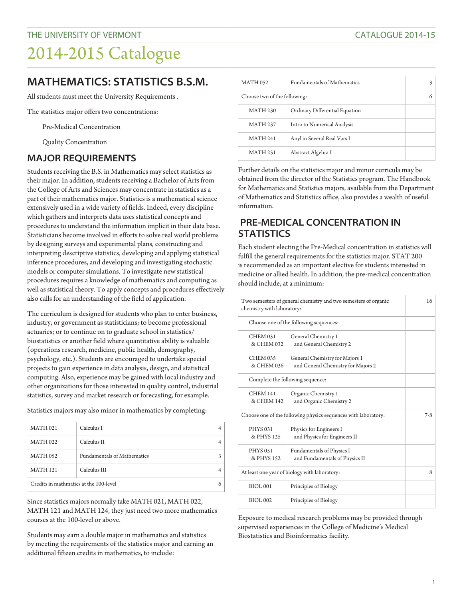# 2014-2015 Catalogue

## **MATHEMATICS: STATISTICS B.S.M.**

All students must meet the University Requirements .

The statistics major offers two concentrations:

Pre-Medical Concentration

Quality Concentration

#### **MAJOR REQUIREMENTS**

Students receiving the B.S. in Mathematics may select statistics as their major. In addition, students receiving a Bachelor of Arts from the College of Arts and Sciences may concentrate in statistics as a part of their mathematics major. Statistics is a mathematical science extensively used in a wide variety of fields. Indeed, every discipline which gathers and interprets data uses statistical concepts and procedures to understand the information implicit in their data base. Statisticians become involved in efforts to solve real world problems by designing surveys and experimental plans, constructing and interpreting descriptive statistics, developing and applying statistical inference procedures, and developing and investigating stochastic models or computer simulations. To investigate new statistical procedures requires a knowledge of mathematics and computing as well as statistical theory. To apply concepts and procedures effectively also calls for an understanding of the field of application.

The curriculum is designed for students who plan to enter business, industry, or government as statisticians; to become professional actuaries; or to continue on to graduate school in statistics/ biostatistics or another field where quantitative ability is valuable (operations research, medicine, public health, demography, psychology, etc.). Students are encouraged to undertake special projects to gain experience in data analysis, design, and statistical computing. Also, experience may be gained with local industry and other organizations for those interested in quality control, industrial statistics, survey and market research or forecasting, for example.

Statistics majors may also minor in mathematics by completing:

| <b>MATH 021</b>                        | Calculus I                  |  |
|----------------------------------------|-----------------------------|--|
| <b>MATH 022</b>                        | Calculus II                 |  |
| <b>MATH 052</b>                        | Fundamentals of Mathematics |  |
| <b>MATH 121</b>                        | Calculus III                |  |
| Credits in mathmatics at the 100-level |                             |  |

Since statistics majors normally take MATH 021, MATH 022, MATH 121 and MATH 124, they just need two more mathematics courses at the 100-level or above.

Students may earn a double major in mathematics and statistics by meeting the requirements of the statistics major and earning an additional fifteen credits in mathematics, to include:

| <b>MATH 052</b>              | <b>Fundamentals of Mathematics</b> |   |
|------------------------------|------------------------------------|---|
| Choose two of the following: |                                    | 6 |
| <b>MATH 230</b>              | Ordinary Differential Equation     |   |
| <b>MATH 237</b>              | Intro to Numerical Analysis        |   |
| <b>MATH 241</b>              | Anyl in Several Real Vars I        |   |
| <b>MATH 251</b>              | Abstract Algebra I                 |   |

Further details on the statistics major and minor curricula may be obtained from the director of the Statistics program. The Handbook for Mathematics and Statistics majors, available from the Department of Mathematics and Statistics office, also provides a wealth of useful information.

### **PRE-MEDICAL CONCENTRATION IN STATISTICS**

Each student electing the Pre-Medical concentration in statistics will fulfill the general requirements for the statistics major. STAT 200 is recommended as an important elective for students interested in medicine or allied health. In addition, the pre-medical concentration should include, at a minimum:

| Two semesters of general chemistry and two semesters of organic<br>chemistry with laboratory: |                                                                      | 16      |
|-----------------------------------------------------------------------------------------------|----------------------------------------------------------------------|---------|
| Choose one of the following sequences:                                                        |                                                                      |         |
| <b>CHEM 031</b><br>& CHEM 032                                                                 | General Chemistry 1<br>and General Chemistry 2                       |         |
| <b>CHEM 035</b><br>& CHEM 036                                                                 | General Chemistry for Majors 1<br>and General Chemistry for Majors 2 |         |
| Complete the following sequence:                                                              |                                                                      |         |
| <b>CHEM 141</b><br>& CHEM 142                                                                 | Organic Chemistry 1<br>and Organic Chemistry 2                       |         |
| Choose one of the following physics sequences with laboratory:                                |                                                                      | $7 - 8$ |
| <b>PHYS 031</b><br>& PHYS 125                                                                 | Physics for Engineers I<br>and Physics for Engineers II              |         |
| <b>PHYS 051</b><br>& PHYS 152                                                                 | Fundamentals of Physics I<br>and Fundamentals of Physics II          |         |
| At least one year of biology with laboratory:                                                 |                                                                      | 8       |
| <b>BIOL 001</b>                                                                               | Principles of Biology                                                |         |
| <b>BIOL002</b>                                                                                | Principles of Biology                                                |         |

Exposure to medical research problems may be provided through supervised experiences in the College of Medicine's Medical Biostatistics and Bioinformatics facility.